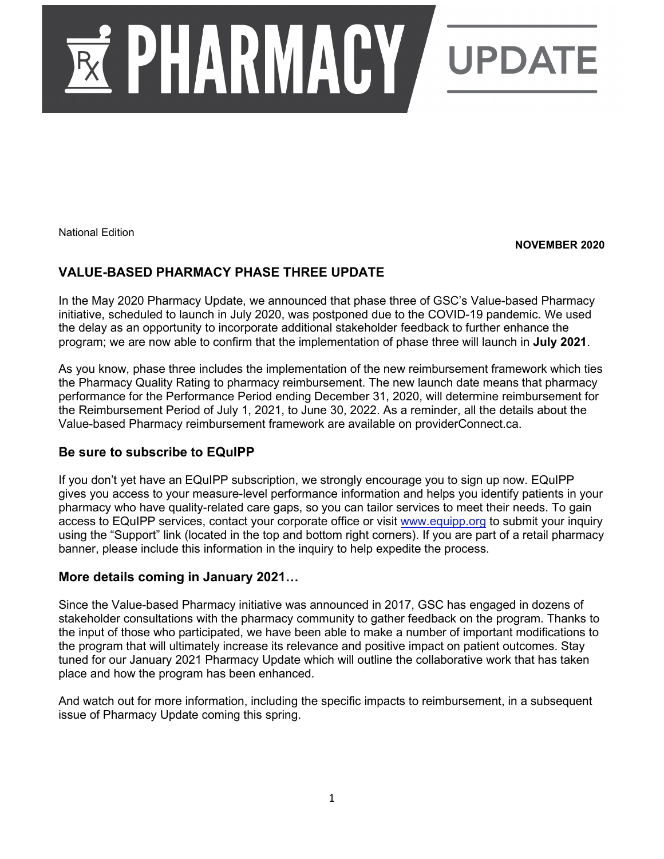

National Edition

**NOVEMBER 2020**

# **VALUE-BASED PHARMACY PHASE THREE UPDATE**

In the May 2020 Pharmacy Update, we announced that phase three of GSC's Value-based Pharmacy initiative, scheduled to launch in July 2020, was postponed due to the COVID-19 pandemic. We used the delay as an opportunity to incorporate additional stakeholder feedback to further enhance the program; we are now able to confirm that the implementation of phase three will launch in **July 2021**.

As you know, phase three includes the implementation of the new reimbursement framework which ties the Pharmacy Quality Rating to pharmacy reimbursement. The new launch date means that pharmacy performance for the Performance Period ending December 31, 2020, will determine reimbursement for the Reimbursement Period of July 1, 2021, to June 30, 2022. As a reminder, all the details about the Value-based Pharmacy reimbursement framework are available on providerConnect.ca.

## **Be sure to subscribe to EQuIPP**

If you don't yet have an EQuIPP subscription, we strongly encourage you to sign up now. EQuIPP gives you access to your measure-level performance information and helps you identify patients in your pharmacy who have quality-related care gaps, so you can tailor services to meet their needs. To gain access to EQuIPP services, contact your corporate office or visit [www.equipp.org](http://www.equipp.org/) to submit your inquiry using the "Support" link (located in the top and bottom right corners). If you are part of a retail pharmacy banner, please include this information in the inquiry to help expedite the process.

## **More details coming in January 2021…**

Since the Value-based Pharmacy initiative was announced in 2017, GSC has engaged in dozens of stakeholder consultations with the pharmacy community to gather feedback on the program. Thanks to the input of those who participated, we have been able to make a number of important modifications to the program that will ultimately increase its relevance and positive impact on patient outcomes. Stay tuned for our January 2021 Pharmacy Update which will outline the collaborative work that has taken place and how the program has been enhanced.

And watch out for more information, including the specific impacts to reimbursement, in a subsequent issue of Pharmacy Update coming this spring.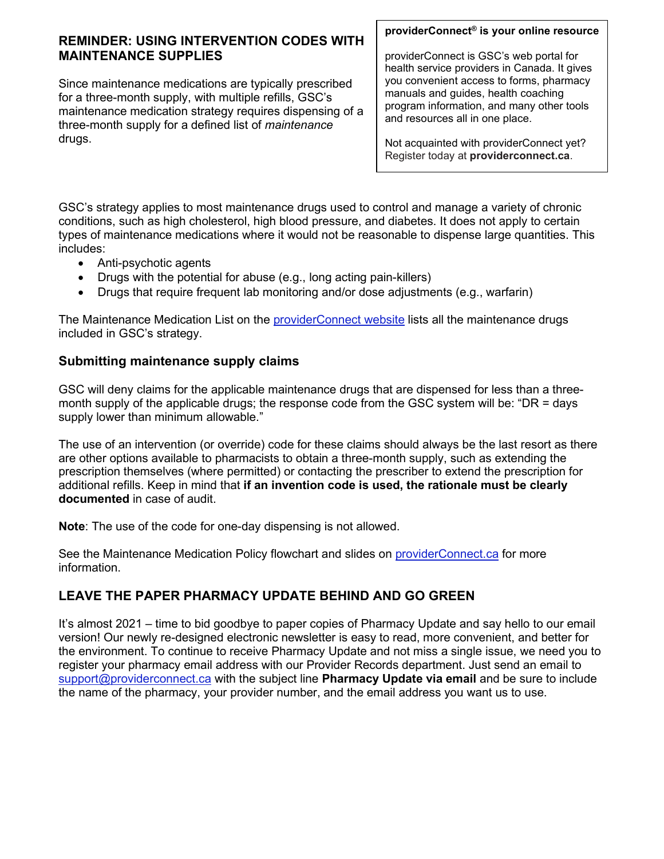## **REMINDER: USING INTERVENTION CODES WITH MAINTENANCE SUPPLIES**

Since maintenance medications are typically prescribed for a three-month supply, with multiple refills, GSC's maintenance medication strategy requires dispensing of a three-month supply for a defined list of *maintenance*  drugs.

#### **providerConnect® is your online resource**

providerConnect is GSC's web portal for health service providers in Canada. It gives you convenient access to forms, pharmacy manuals and guides, health coaching program information, and many other tools and resources all in one place.

Not acquainted with providerConnect yet? Register today at **providerconnect.ca**.

GSC's strategy applies to most maintenance drugs used to control and manage a variety of chronic conditions, such as high cholesterol, high blood pressure, and diabetes. It does not apply to certain types of maintenance medications where it would not be reasonable to dispense large quantities. This includes:

- Anti-psychotic agents
- Drugs with the potential for abuse (e.g., long acting pain-killers)
- Drugs that require frequent lab monitoring and/or dose adjustments (e.g., warfarin)

The Maintenance Medication List on the [providerConnect website](https://www.providerconnect.ca/AdminContent/Forms.aspx?type=pharmacy) lists all the maintenance drugs included in GSC's strategy.

## **Submitting maintenance supply claims**

GSC will deny claims for the applicable maintenance drugs that are dispensed for less than a threemonth supply of the applicable drugs; the response code from the GSC system will be: "DR = days" supply lower than minimum allowable."

The use of an intervention (or override) code for these claims should always be the last resort as there are other options available to pharmacists to obtain a three-month supply, such as extending the prescription themselves (where permitted) or contacting the prescriber to extend the prescription for additional refills. Keep in mind that **if an invention code is used, the rationale must be clearly documented** in case of audit.

**Note**: The use of the code for one-day dispensing is not allowed.

See the Maintenance Medication Policy flowchart and slides on [providerConnect.ca](https://www.providerconnect.ca/AdminContent/Forms.aspx?type=pharmacy) for more information.

# **LEAVE THE PAPER PHARMACY UPDATE BEHIND AND GO GREEN**

It's almost 2021 – time to bid goodbye to paper copies of Pharmacy Update and say hello to our email version! Our newly re-designed electronic newsletter is easy to read, more convenient, and better for the environment. To continue to receive Pharmacy Update and not miss a single issue, we need you to register your pharmacy email address with our Provider Records department. Just send an email to [support@providerconnect.ca](mailto:support@providerconnect.ca) with the subject line **Pharmacy Update via email** and be sure to include the name of the pharmacy, your provider number, and the email address you want us to use.